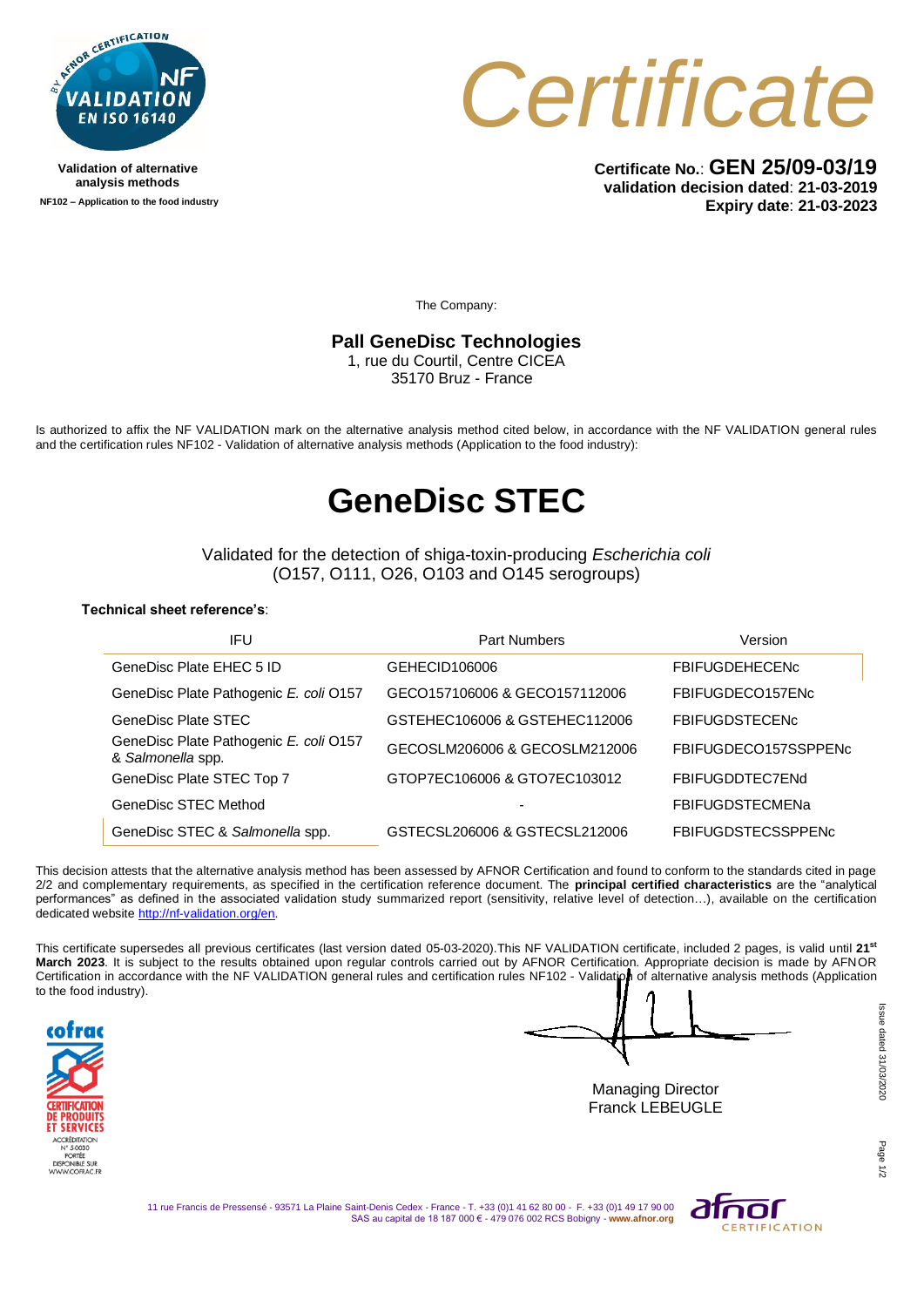

**Validation of alternative analysis methods NF102 – Application to the food industry**



**Certificate No.**: **GEN 25/09-03/19 validation decision dated**: **21-03-2019 Expiry date**: **21-03-2023**

The Company:

### **Pall GeneDisc Technologies**

1, rue du Courtil, Centre CICEA 35170 Bruz - France

Is authorized to affix the NF VALIDATION mark on the alternative analysis method cited below, in accordance with the NF VALIDATION general rules and the certification rules NF102 - Validation of alternative analysis methods (Application to the food industry):

## **GeneDisc STEC**

Validated for the detection of shiga-toxin-producing *Escherichia coli*  (O157, O111, O26, O103 and O145 serogroups)

#### **Technical sheet reference's**:

| IFU                                                         | <b>Part Numbers</b>           | Version                   |
|-------------------------------------------------------------|-------------------------------|---------------------------|
| GeneDisc Plate EHEC 5 ID                                    | GEHECID106006                 | <b>FBIFUGDEHECENc</b>     |
| GeneDisc Plate Pathogenic E. coli 0157                      | GECO157106006 & GECO157112006 | FBIFUGDECO157ENc          |
| GeneDisc Plate STEC                                         | GSTEHEC106006 & GSTEHEC112006 | <b>FBIFUGDSTECENC</b>     |
| GeneDisc Plate Pathogenic E. coli 0157<br>& Salmonella spp. | GECOSLM206006 & GECOSLM212006 | FBIFUGDECO157SSPPENc      |
| GeneDisc Plate STEC Top 7                                   | GTOP7EC106006 & GTO7EC103012  | FBIFUGDDTFC7FNd           |
| GeneDisc STEC Method                                        |                               | <b>FBIFUGDSTECMENa</b>    |
| GeneDisc STEC & Salmonella spp.                             | GSTECSL206006 & GSTECSL212006 | <b>FBIFUGDSTECSSPPENC</b> |

This decision attests that the alternative analysis method has been assessed by AFNOR Certification and found to conform to the standards cited in page 2/2 and complementary requirements, as specified in the certification reference document. The **principal certified characteristics** are the "analytical performances" as defined in the associated validation study summarized report (sensitivity, relative level of detection...), available on the certification dedicated website [http://nf-validation.org/en.](http://nf-validation.org/en)

This certificate supersedes all previous certificates (last version dated 05-03-2020).This NF VALIDATION certificate, included 2 pages, is valid until **21 st March 2023**. It is subject to the results obtained upon regular controls carried out by AFNOR Certification. Appropriate decision is made by AFNOR Certification in accordance with the NF VALIDATION general rules and certification rules NF102 - Validation of alternative analysis methods (Application to the food industry).



Managing Director Franck LEBEUGLE

11 rue Francis de Pressensé - 93571 La Plaine Saint-Denis Cedex - France - T. +33 (0)1 41 62 80 00 - F. +33 (0)1 49 17 90 00 SAS au capital de 18 187 000 € - 479 076 002 RCS Bobigny - **www.afnor.org**